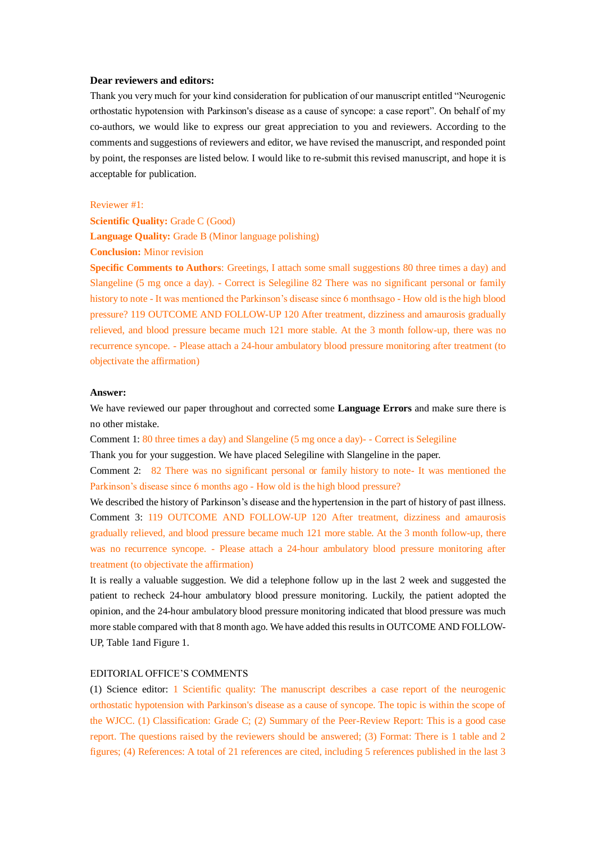#### **Dear reviewers and editors:**

Thank you very much for your kind consideration for publication of our manuscript entitled "Neurogenic orthostatic hypotension with Parkinson's disease as a cause of syncope: a case report". On behalf of my co-authors, we would like to express our great appreciation to you and reviewers. According to the comments and suggestions of reviewers and editor, we have revised the manuscript, and responded point by point, the responses are listed below. I would like to re-submit this revised manuscript, and hope it is acceptable for publication.

#### Reviewer #1:

**Scientific Quality: Grade C (Good) Language Quality:** Grade B (Minor language polishing) **Conclusion:** Minor revision

**Specific Comments to Authors**: Greetings, I attach some small suggestions 80 three times a day) and Slangeline (5 mg once a day). - Correct is Selegiline 82 There was no significant personal or family history to note - It was mentioned the Parkinson's disease since 6 monthsago - How old is the high blood pressure? 119 OUTCOME AND FOLLOW-UP 120 After treatment, dizziness and amaurosis gradually relieved, and blood pressure became much 121 more stable. At the 3 month follow-up, there was no recurrence syncope. - Please attach a 24-hour ambulatory blood pressure monitoring after treatment (to objectivate the affirmation)

#### **Answer:**

We have reviewed our paper throughout and corrected some **Language Errors** and make sure there is no other mistake.

Comment 1: 80 three times a day) and Slangeline (5 mg once a day)- - Correct is Selegiline

Thank you for your suggestion. We have placed Selegiline with Slangeline in the paper.

Comment 2: 82 There was no significant personal or family history to note- It was mentioned the Parkinson's disease since 6 months ago - How old is the high blood pressure?

We described the history of Parkinson's disease and the hypertension in the part of history of past illness. Comment 3: 119 OUTCOME AND FOLLOW-UP 120 After treatment, dizziness and amaurosis gradually relieved, and blood pressure became much 121 more stable. At the 3 month follow-up, there was no recurrence syncope. - Please attach a 24-hour ambulatory blood pressure monitoring after treatment (to objectivate the affirmation)

It is really a valuable suggestion. We did a telephone follow up in the last 2 week and suggested the patient to recheck 24-hour ambulatory blood pressure monitoring. Luckily, the patient adopted the opinion, and the 24-hour ambulatory blood pressure monitoring indicated that blood pressure was much more stable compared with that 8 month ago. We have added this resultsin OUTCOME AND FOLLOW-UP, Table 1and Figure 1.

## EDITORIAL OFFICE'S COMMENTS

(1) Science editor: 1 Scientific quality: The manuscript describes a case report of the neurogenic orthostatic hypotension with Parkinson's disease as a cause of syncope. The topic is within the scope of the WJCC. (1) Classification: Grade C; (2) Summary of the Peer-Review Report: This is a good case report. The questions raised by the reviewers should be answered; (3) Format: There is 1 table and 2 figures; (4) References: A total of 21 references are cited, including 5 references published in the last 3